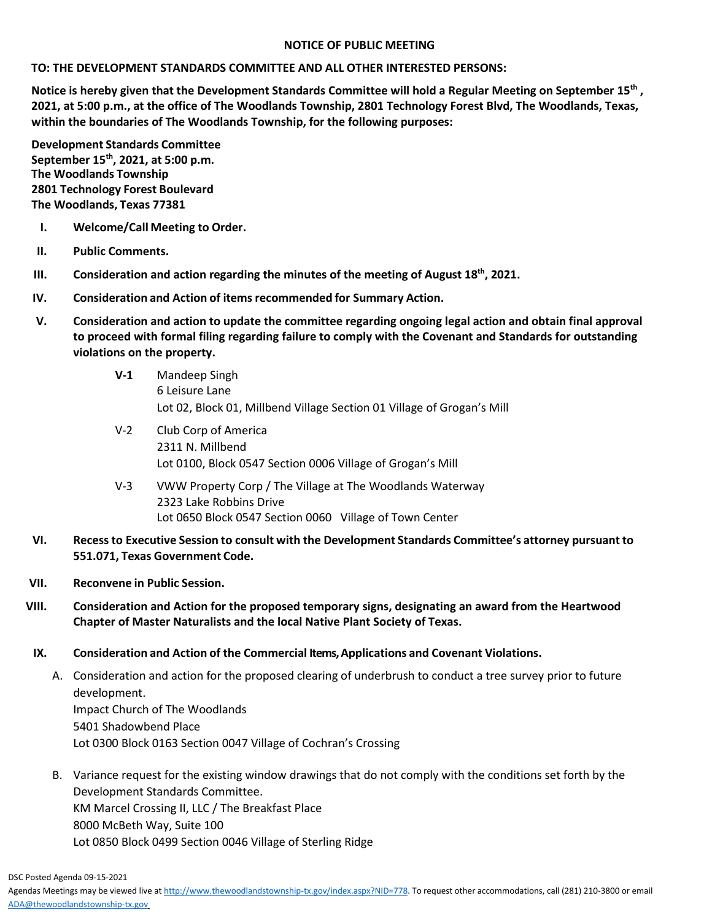## **NOTICE OF PUBLIC MEETING**

## **TO: THE DEVELOPMENT STANDARDS COMMITTEE AND ALL OTHER INTERESTED PERSONS:**

**Notice is hereby given that the Development Standards Committee will hold a Regular Meeting on September 15th , 2021, at 5:00 p.m., at the office of The Woodlands Township, 2801 Technology Forest Blvd, The Woodlands, Texas, within the boundaries of The Woodlands Township, for the following purposes:**

**Development Standards Committee September 15th, 2021, at 5:00 p.m. The Woodlands Township 2801 Technology Forest Boulevard The Woodlands, Texas 77381**

- **I. Welcome/Call Meeting to Order.**
- **II. Public Comments.**
- **III. Consideration and action regarding the minutes of the meeting of August 18th, 2021.**
- **IV. Consideration and Action of items recommended for Summary Action.**
- **V. Consideration and action to update the committee regarding ongoing legal action and obtain final approval to proceed with formal filing regarding failure to comply with the Covenant and Standards for outstanding violations on the property.** 
	- **V-1** Mandeep Singh 6 Leisure Lane Lot 02, Block 01, Millbend Village Section 01 Village of Grogan's Mill
	- V-2 Club Corp of America 2311 N. Millbend Lot 0100, Block 0547 Section 0006 Village of Grogan's Mill
	- V-3 VWW Property Corp / The Village at The Woodlands Waterway 2323 Lake Robbins Drive Lot 0650 Block 0547 Section 0060 Village of Town Center
- **VI. Recessto Executive Session to consult with the Development Standards Committee's attorney pursuant to 551.071, Texas Government Code.**
- **VII. Reconvene in Public Session.**
- **VIII. Consideration and Action for the proposed temporary signs, designating an award from the Heartwood Chapter of Master Naturalists and the local Native Plant Society of Texas.**

## **IX. Consideration and Action of the Commercial Items, Applications and Covenant Violations.**

- A. Consideration and action for the proposed clearing of underbrush to conduct a tree survey prior to future development. Impact Church of The Woodlands 5401 Shadowbend Place Lot 0300 Block 0163 Section 0047 Village of Cochran's Crossing
- B. Variance request for the existing window drawings that do not comply with the conditions set forth by the Development Standards Committee. KM Marcel Crossing II, LLC / The Breakfast Place 8000 McBeth Way, Suite 100 Lot 0850 Block 0499 Section 0046 Village of Sterling Ridge

DSC Posted Agenda 09-15-2021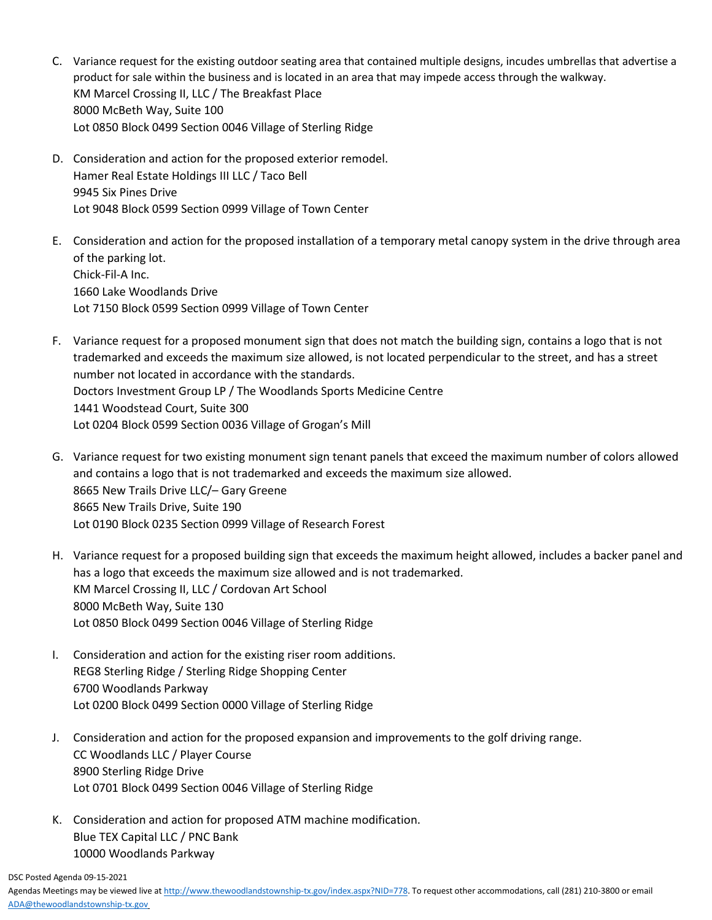- C. Variance request for the existing outdoor seating area that contained multiple designs, incudes umbrellas that advertise a product for sale within the business and is located in an area that may impede access through the walkway. KM Marcel Crossing II, LLC / The Breakfast Place 8000 McBeth Way, Suite 100 Lot 0850 Block 0499 Section 0046 Village of Sterling Ridge
- D. Consideration and action for the proposed exterior remodel. Hamer Real Estate Holdings III LLC / Taco Bell 9945 Six Pines Drive Lot 9048 Block 0599 Section 0999 Village of Town Center
- E. Consideration and action for the proposed installation of a temporary metal canopy system in the drive through area of the parking lot. Chick-Fil-A Inc. 1660 Lake Woodlands Drive Lot 7150 Block 0599 Section 0999 Village of Town Center
- F. Variance request for a proposed monument sign that does not match the building sign, contains a logo that is not trademarked and exceeds the maximum size allowed, is not located perpendicular to the street, and has a street number not located in accordance with the standards. Doctors Investment Group LP / The Woodlands Sports Medicine Centre 1441 Woodstead Court, Suite 300 Lot 0204 Block 0599 Section 0036 Village of Grogan's Mill
- G. Variance request for two existing monument sign tenant panels that exceed the maximum number of colors allowed and contains a logo that is not trademarked and exceeds the maximum size allowed. 8665 New Trails Drive LLC/– Gary Greene 8665 New Trails Drive, Suite 190 Lot 0190 Block 0235 Section 0999 Village of Research Forest
- H. Variance request for a proposed building sign that exceeds the maximum height allowed, includes a backer panel and has a logo that exceeds the maximum size allowed and is not trademarked. KM Marcel Crossing II, LLC / Cordovan Art School 8000 McBeth Way, Suite 130 Lot 0850 Block 0499 Section 0046 Village of Sterling Ridge
- I. Consideration and action for the existing riser room additions. REG8 Sterling Ridge / Sterling Ridge Shopping Center 6700 Woodlands Parkway Lot 0200 Block 0499 Section 0000 Village of Sterling Ridge
- J. Consideration and action for the proposed expansion and improvements to the golf driving range. CC Woodlands LLC / Player Course 8900 Sterling Ridge Drive Lot 0701 Block 0499 Section 0046 Village of Sterling Ridge
- K. Consideration and action for proposed ATM machine modification. Blue TEX Capital LLC / PNC Bank 10000 Woodlands Parkway

DSC Posted Agenda 09-15-2021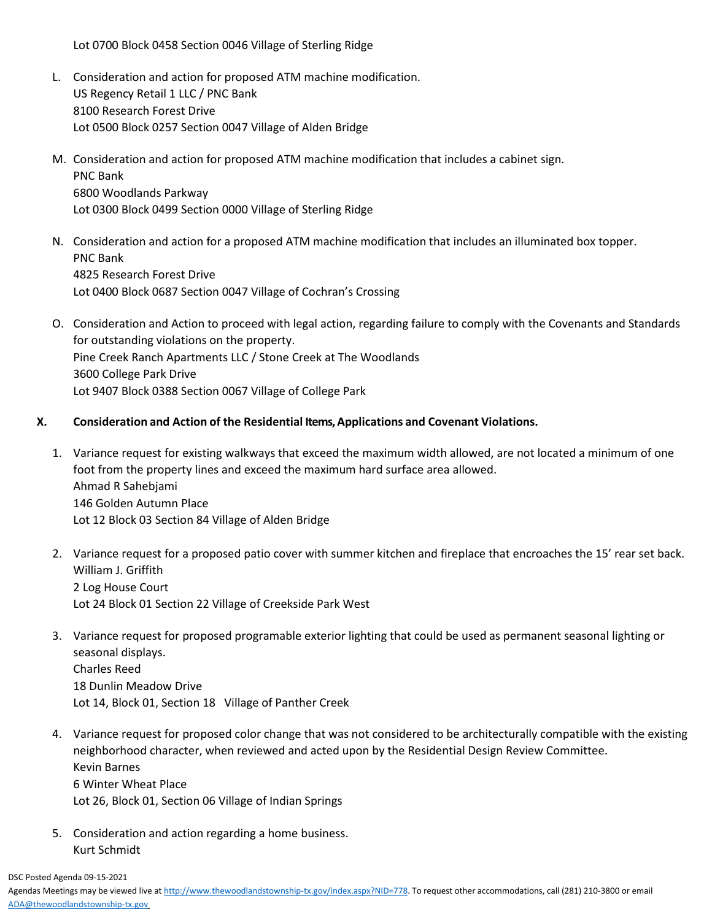Lot 0700 Block 0458 Section 0046 Village of Sterling Ridge

- L. Consideration and action for proposed ATM machine modification. US Regency Retail 1 LLC / PNC Bank 8100 Research Forest Drive Lot 0500 Block 0257 Section 0047 Village of Alden Bridge
- M. Consideration and action for proposed ATM machine modification that includes a cabinet sign. PNC Bank 6800 Woodlands Parkway Lot 0300 Block 0499 Section 0000 Village of Sterling Ridge
- N. Consideration and action for a proposed ATM machine modification that includes an illuminated box topper. PNC Bank 4825 Research Forest Drive Lot 0400 Block 0687 Section 0047 Village of Cochran's Crossing
- O. Consideration and Action to proceed with legal action, regarding failure to comply with the Covenants and Standards for outstanding violations on the property. Pine Creek Ranch Apartments LLC / Stone Creek at The Woodlands 3600 College Park Drive Lot 9407 Block 0388 Section 0067 Village of College Park

## **X. Consideration and Action of the Residential Items, Applications and Covenant Violations.**

- 1. Variance request for existing walkways that exceed the maximum width allowed, are not located a minimum of one foot from the property lines and exceed the maximum hard surface area allowed. Ahmad R Sahebjami 146 Golden Autumn Place Lot 12 Block 03 Section 84 Village of Alden Bridge
- 2. Variance request for a proposed patio cover with summer kitchen and fireplace that encroaches the 15' rear set back. William J. Griffith 2 Log House Court Lot 24 Block 01 Section 22 Village of Creekside Park West
- 3. Variance request for proposed programable exterior lighting that could be used as permanent seasonal lighting or seasonal displays. Charles Reed 18 Dunlin Meadow Drive Lot 14, Block 01, Section 18 Village of Panther Creek
- 4. Variance request for proposed color change that was not considered to be architecturally compatible with the existing neighborhood character, when reviewed and acted upon by the Residential Design Review Committee. Kevin Barnes 6 Winter Wheat Place Lot 26, Block 01, Section 06 Village of Indian Springs
- 5. Consideration and action regarding a home business. Kurt Schmidt

Agendas Meetings may be viewed live a[t http://www.thewoodlandstownship-tx.gov/index.aspx?NID=778.](http://www.thewoodlandstownship-tx.gov/index.aspx?NID=778) To request other accommodations, call (281) 210-3800 or email [ADA@thewoodlandstownship-tx.gov](mailto:ADA@thewoodlandstownship-tx.gov)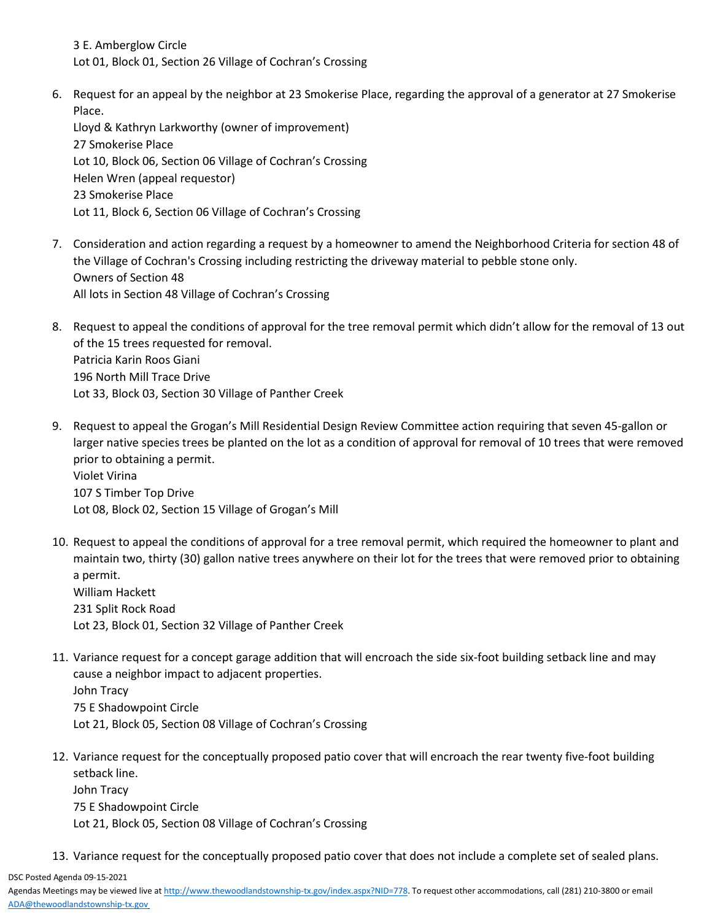3 E. Amberglow Circle Lot 01, Block 01, Section 26 Village of Cochran's Crossing

6. Request for an appeal by the neighbor at 23 Smokerise Place, regarding the approval of a generator at 27 Smokerise Place.

Lloyd & Kathryn Larkworthy (owner of improvement) 27 Smokerise Place Lot 10, Block 06, Section 06 Village of Cochran's Crossing Helen Wren (appeal requestor) 23 Smokerise Place Lot 11, Block 6, Section 06 Village of Cochran's Crossing

- 7. Consideration and action regarding a request by a homeowner to amend the Neighborhood Criteria for section 48 of the Village of Cochran's Crossing including restricting the driveway material to pebble stone only. Owners of Section 48 All lots in Section 48 Village of Cochran's Crossing
- 8. Request to appeal the conditions of approval for the tree removal permit which didn't allow for the removal of 13 out of the 15 trees requested for removal. Patricia Karin Roos Giani 196 North Mill Trace Drive Lot 33, Block 03, Section 30 Village of Panther Creek
- 9. Request to appeal the Grogan's Mill Residential Design Review Committee action requiring that seven 45-gallon or larger native species trees be planted on the lot as a condition of approval for removal of 10 trees that were removed prior to obtaining a permit. Violet Virina 107 S Timber Top Drive Lot 08, Block 02, Section 15 Village of Grogan's Mill
- 10. Request to appeal the conditions of approval for a tree removal permit, which required the homeowner to plant and maintain two, thirty (30) gallon native trees anywhere on their lot for the trees that were removed prior to obtaining a permit. William Hackett 231 Split Rock Road Lot 23, Block 01, Section 32 Village of Panther Creek
- 11. Variance request for a concept garage addition that will encroach the side six-foot building setback line and may cause a neighbor impact to adjacent properties. John Tracy 75 E Shadowpoint Circle Lot 21, Block 05, Section 08 Village of Cochran's Crossing
- 12. Variance request for the conceptually proposed patio cover that will encroach the rear twenty five-foot building setback line. John Tracy 75 E Shadowpoint Circle Lot 21, Block 05, Section 08 Village of Cochran's Crossing
- 13. Variance request for the conceptually proposed patio cover that does not include a complete set of sealed plans.

DSC Posted Agenda 09-15-2021

Agendas Meetings may be viewed live a[t http://www.thewoodlandstownship-tx.gov/index.aspx?NID=778.](http://www.thewoodlandstownship-tx.gov/index.aspx?NID=778) To request other accommodations, call (281) 210-3800 or email [ADA@thewoodlandstownship-tx.gov](mailto:ADA@thewoodlandstownship-tx.gov)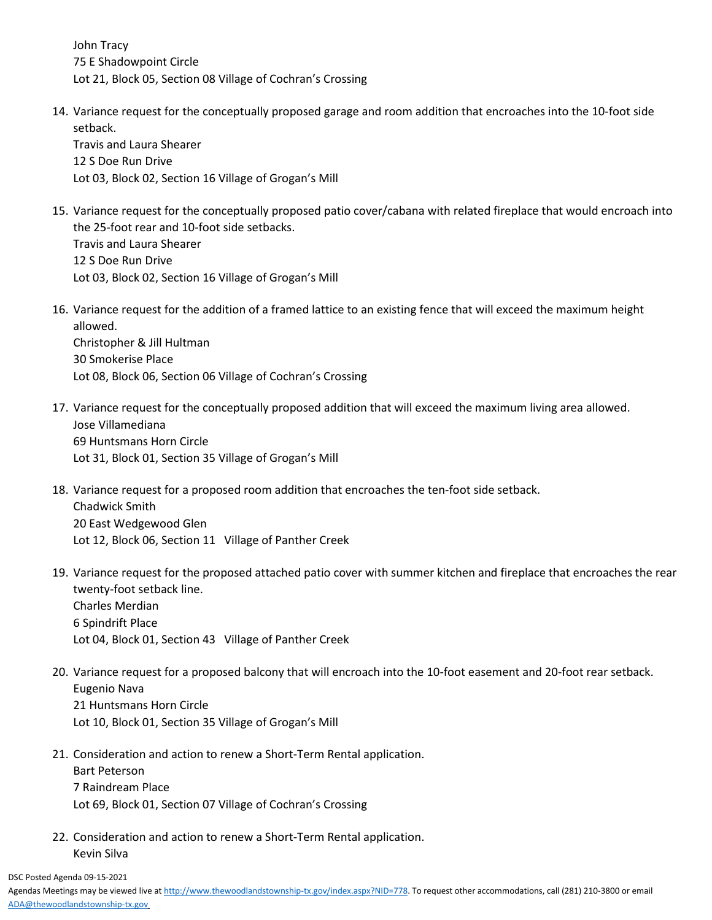John Tracy 75 E Shadowpoint Circle Lot 21, Block 05, Section 08 Village of Cochran's Crossing

14. Variance request for the conceptually proposed garage and room addition that encroaches into the 10-foot side setback.

Travis and Laura Shearer 12 S Doe Run Drive Lot 03, Block 02, Section 16 Village of Grogan's Mill

- 15. Variance request for the conceptually proposed patio cover/cabana with related fireplace that would encroach into the 25-foot rear and 10-foot side setbacks. Travis and Laura Shearer 12 S Doe Run Drive Lot 03, Block 02, Section 16 Village of Grogan's Mill
- 16. Variance request for the addition of a framed lattice to an existing fence that will exceed the maximum height allowed. Christopher & Jill Hultman 30 Smokerise Place

Lot 08, Block 06, Section 06 Village of Cochran's Crossing

- 17. Variance request for the conceptually proposed addition that will exceed the maximum living area allowed. Jose Villamediana 69 Huntsmans Horn Circle Lot 31, Block 01, Section 35 Village of Grogan's Mill
- 18. Variance request for a proposed room addition that encroaches the ten-foot side setback. Chadwick Smith 20 East Wedgewood Glen Lot 12, Block 06, Section 11 Village of Panther Creek
- 19. Variance request for the proposed attached patio cover with summer kitchen and fireplace that encroaches the rear twenty-foot setback line. Charles Merdian 6 Spindrift Place Lot 04, Block 01, Section 43 Village of Panther Creek
- 20. Variance request for a proposed balcony that will encroach into the 10-foot easement and 20-foot rear setback. Eugenio Nava 21 Huntsmans Horn Circle Lot 10, Block 01, Section 35 Village of Grogan's Mill
- 21. Consideration and action to renew a Short-Term Rental application. Bart Peterson 7 Raindream Place Lot 69, Block 01, Section 07 Village of Cochran's Crossing
- 22. Consideration and action to renew a Short-Term Rental application. Kevin Silva

Agendas Meetings may be viewed live a[t http://www.thewoodlandstownship-tx.gov/index.aspx?NID=778.](http://www.thewoodlandstownship-tx.gov/index.aspx?NID=778) To request other accommodations, call (281) 210-3800 or email [ADA@thewoodlandstownship-tx.gov](mailto:ADA@thewoodlandstownship-tx.gov)